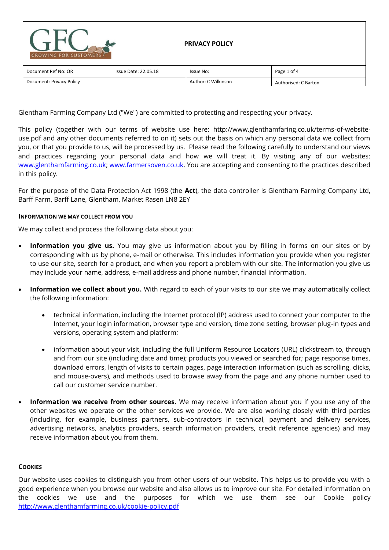| <b>GROWING FOR CUSTOMERS</b> |                             | <b>PRIVACY POLICY</b> |                      |
|------------------------------|-----------------------------|-----------------------|----------------------|
| Document Ref No: QR          | <b>Issue Date: 22.05.18</b> | Issue No:             | Page 1 of 4          |
| Document: Privacy Policy     |                             | Author: C Wilkinson   | Authorised: C Barton |

Glentham Farming Company Ltd ("We") are committed to protecting and respecting your privacy.

This policy (together with our terms of website use here: http://www.glenthamfaring.co.uk/terms-of-websiteuse.pdf and any other documents referred to on it) sets out the basis on which any personal data we collect from you, or that you provide to us, will be processed by us. Please read the following carefully to understand our views and practices regarding your personal data and how we will treat it. By visiting any of our websites: [www.glenthamfarming.co.uk;](http://www.glenthamfarming.co.uk/) [www.farmersoven.co.uk.](http://www.farmersoven.co.uk/) You are accepting and consenting to the practices described in this policy.

For the purpose of the Data Protection Act 1998 (the **Act**), the data controller is Glentham Farming Company Ltd, Barff Farm, Barff Lane, Glentham, Market Rasen LN8 2EY

## **INFORMATION WE MAY COLLECT FROM YOU**

We may collect and process the following data about you:

- **Information you give us.** You may give us information about you by filling in forms on our sites or by corresponding with us by phone, e-mail or otherwise. This includes information you provide when you register to use our site, search for a product, and when you report a problem with our site. The information you give us may include your name, address, e-mail address and phone number, financial information.
- **Information we collect about you.** With regard to each of your visits to our site we may automatically collect the following information:
	- technical information, including the Internet protocol (IP) address used to connect your computer to the Internet, your login information, browser type and version, time zone setting, browser plug-in types and versions, operating system and platform;
	- information about your visit, including the full Uniform Resource Locators (URL) clickstream to, through and from our site (including date and time); products you viewed or searched for; page response times, download errors, length of visits to certain pages, page interaction information (such as scrolling, clicks, and mouse-overs), and methods used to browse away from the page and any phone number used to call our customer service number.
- **Information we receive from other sources.** We may receive information about you if you use any of the other websites we operate or the other services we provide. We are also working closely with third parties (including, for example, business partners, sub-contractors in technical, payment and delivery services, advertising networks, analytics providers, search information providers, credit reference agencies) and may receive information about you from them.

## **COOKIES**

Our website uses cookies to distinguish you from other users of our website. This helps us to provide you with a good experience when you browse our website and also allows us to improve our site. For detailed information on the cookies we use and the purposes for which we use them see our Cookie policy <http://www.glenthamfarming.co.uk/cookie-policy.pdf>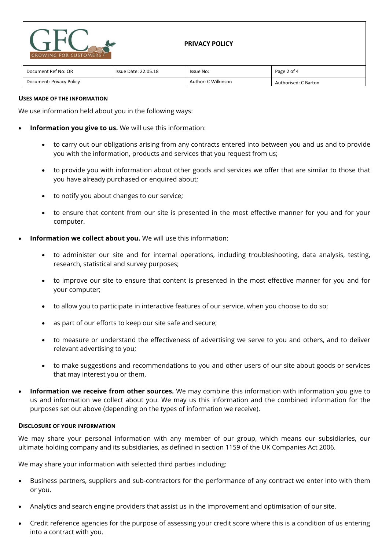

| Document Ref No: QR      | Issue Date: 22.05.18 | Issue No:           | Page 2 of 4          |
|--------------------------|----------------------|---------------------|----------------------|
| Document: Privacy Policy |                      | Author: C Wilkinson | Authorised: C Barton |

## **USES MADE OF THE INFORMATION**

We use information held about you in the following ways:

- **Information you give to us.** We will use this information:
	- to carry out our obligations arising from any contracts entered into between you and us and to provide you with the information, products and services that you request from us;
	- to provide you with information about other goods and services we offer that are similar to those that you have already purchased or enquired about;
	- to notify you about changes to our service;
	- to ensure that content from our site is presented in the most effective manner for you and for your computer.
- **Information we collect about you.** We will use this information:
	- to administer our site and for internal operations, including troubleshooting, data analysis, testing, research, statistical and survey purposes;
	- to improve our site to ensure that content is presented in the most effective manner for you and for your computer;
	- to allow you to participate in interactive features of our service, when you choose to do so;
	- as part of our efforts to keep our site safe and secure;
	- to measure or understand the effectiveness of advertising we serve to you and others, and to deliver relevant advertising to you;
	- to make suggestions and recommendations to you and other users of our site about goods or services that may interest you or them.
- **Information we receive from other sources.** We may combine this information with information you give to us and information we collect about you. We may us this information and the combined information for the purposes set out above (depending on the types of information we receive).

## **DISCLOSURE OF YOUR INFORMATION**

We may share your personal information with any member of our group, which means our subsidiaries, our ultimate holding company and its subsidiaries, as defined in section 1159 of the UK Companies Act 2006.

We may share your information with selected third parties including:

- Business partners, suppliers and sub-contractors for the performance of any contract we enter into with them or you.
- Analytics and search engine providers that assist us in the improvement and optimisation of our site.
- Credit reference agencies for the purpose of assessing your credit score where this is a condition of us entering into a contract with you.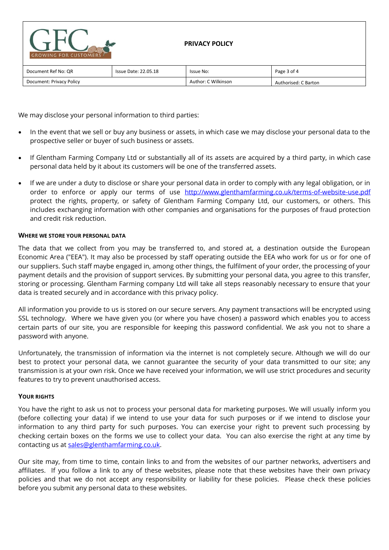| <b>GROWING FOR CUSTOMERS</b> |                             | <b>PRIVACY POLICY</b> |                      |
|------------------------------|-----------------------------|-----------------------|----------------------|
| Document Ref No: QR          | <b>Issue Date: 22.05.18</b> | Issue No:             | Page 3 of 4          |
| Document: Privacy Policy     |                             | Author: C Wilkinson   | Authorised: C Barton |

We may disclose your personal information to third parties:

- In the event that we sell or buy any business or assets, in which case we may disclose your personal data to the prospective seller or buyer of such business or assets.
- If Glentham Farming Company Ltd or substantially all of its assets are acquired by a third party, in which case personal data held by it about its customers will be one of the transferred assets.
- If we are under a duty to disclose or share your personal data in order to comply with any legal obligation, or in order to enforce or apply our terms of use <http://www.glenthamfarming.co.uk/terms-of-website-use.pdf> protect the rights, property, or safety of Glentham Farming Company Ltd, our customers, or others. This includes exchanging information with other companies and organisations for the purposes of fraud protection and credit risk reduction.

## **WHERE WE STORE YOUR PERSONAL DATA**

The data that we collect from you may be transferred to, and stored at, a destination outside the European Economic Area ("EEA"). It may also be processed by staff operating outside the EEA who work for us or for one of our suppliers. Such staff maybe engaged in, among other things, the fulfilment of your order, the processing of your payment details and the provision of support services. By submitting your personal data, you agree to this transfer, storing or processing. Glentham Farming company Ltd will take all steps reasonably necessary to ensure that your data is treated securely and in accordance with this privacy policy.

All information you provide to us is stored on our secure servers. Any payment transactions will be encrypted using SSL technology. Where we have given you (or where you have chosen) a password which enables you to access certain parts of our site, you are responsible for keeping this password confidential. We ask you not to share a password with anyone.

Unfortunately, the transmission of information via the internet is not completely secure. Although we will do our best to protect your personal data, we cannot guarantee the security of your data transmitted to our site; any transmission is at your own risk. Once we have received your information, we will use strict procedures and security features to try to prevent unauthorised access.

# **YOUR RIGHTS**

You have the right to ask us not to process your personal data for marketing purposes. We will usually inform you (before collecting your data) if we intend to use your data for such purposes or if we intend to disclose your information to any third party for such purposes. You can exercise your right to prevent such processing by checking certain boxes on the forms we use to collect your data. You can also exercise the right at any time by contacting us at [sales@glenthamfarming.co.uk.](mailto:sales@glenthamfarming.co.uk)

Our site may, from time to time, contain links to and from the websites of our partner networks, advertisers and affiliates. If you follow a link to any of these websites, please note that these websites have their own privacy policies and that we do not accept any responsibility or liability for these policies. Please check these policies before you submit any personal data to these websites.